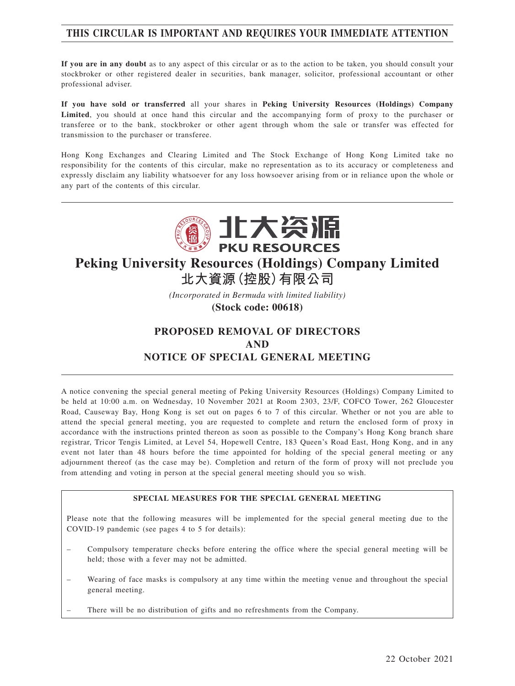## **THIS CIRCULAR IS IMPORTANT AND REQUIRES YOUR IMMEDIATE ATTENTION**

**If you are in any doubt** as to any aspect of this circular or as to the action to be taken, you should consult your stockbroker or other registered dealer in securities, bank manager, solicitor, professional accountant or other professional adviser.

**If you have sold or transferred** all your shares in **Peking University Resources (Holdings) Company Limited**, you should at once hand this circular and the accompanying form of proxy to the purchaser or transferee or to the bank, stockbroker or other agent through whom the sale or transfer was effected for transmission to the purchaser or transferee.

Hong Kong Exchanges and Clearing Limited and The Stock Exchange of Hong Kong Limited take no responsibility for the contents of this circular, make no representation as to its accuracy or completeness and expressly disclaim any liability whatsoever for any loss howsoever arising from or in reliance upon the whole or any part of the contents of this circular.



# **Peking University Resources (Holdings) Company Limited**

**北大資源(控股)有限公司**

*(Incorporated in Bermuda with limited liability)*

**(Stock code: 00618)**

## **PROPOSED REMOVAL OF DIRECTORS AND NOTICE OF SPECIAL GENERAL MEETING**

A notice convening the special general meeting of Peking University Resources (Holdings) Company Limited to be held at 10:00 a.m. on Wednesday, 10 November 2021 at Room 2303, 23/F, COFCO Tower, 262 Gloucester Road, Causeway Bay, Hong Kong is set out on pages 6 to 7 of this circular. Whether or not you are able to attend the special general meeting, you are requested to complete and return the enclosed form of proxy in accordance with the instructions printed thereon as soon as possible to the Company's Hong Kong branch share registrar, Tricor Tengis Limited, at Level 54, Hopewell Centre, 183 Queen's Road East, Hong Kong, and in any event not later than 48 hours before the time appointed for holding of the special general meeting or any adjournment thereof (as the case may be). Completion and return of the form of proxy will not preclude you from attending and voting in person at the special general meeting should you so wish.

### **SPECIAL MEASURES FOR THE SPECIAL GENERAL MEETING**

Please note that the following measures will be implemented for the special general meeting due to the COVID-19 pandemic (see pages 4 to 5 for details):

- Compulsory temperature checks before entering the office where the special general meeting will be held; those with a fever may not be admitted.
- Wearing of face masks is compulsory at any time within the meeting venue and throughout the special general meeting.
- There will be no distribution of gifts and no refreshments from the Company.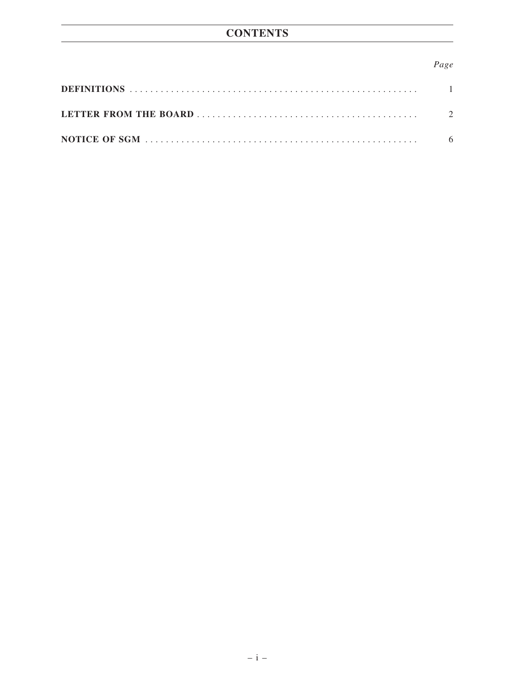# **CONTENTS**

## Page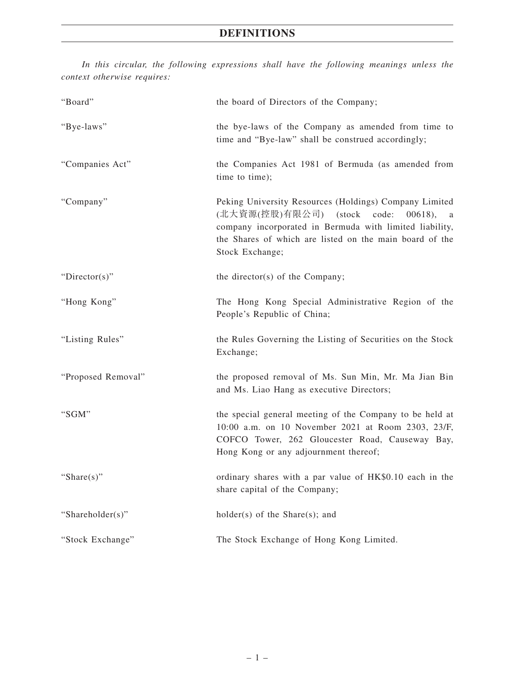## **DEFINITIONS**

*In this circular, the following expressions shall have the following meanings unless the context otherwise requires:*

| "Board"            | the board of Directors of the Company;                                                                                                                                                                                                                 |
|--------------------|--------------------------------------------------------------------------------------------------------------------------------------------------------------------------------------------------------------------------------------------------------|
| "Bye-laws"         | the bye-laws of the Company as amended from time to<br>time and "Bye-law" shall be construed accordingly;                                                                                                                                              |
| "Companies Act"    | the Companies Act 1981 of Bermuda (as amended from<br>time to time);                                                                                                                                                                                   |
| "Company"          | Peking University Resources (Holdings) Company Limited<br>(北大資源(控股)有限公司)<br>(stock<br>code:<br>$00618$ .<br>a<br>company incorporated in Bermuda with limited liability,<br>the Shares of which are listed on the main board of the<br>Stock Exchange; |
| "Director(s)"      | the director(s) of the Company;                                                                                                                                                                                                                        |
| "Hong Kong"        | The Hong Kong Special Administrative Region of the<br>People's Republic of China;                                                                                                                                                                      |
| "Listing Rules"    | the Rules Governing the Listing of Securities on the Stock<br>Exchange;                                                                                                                                                                                |
| "Proposed Removal" | the proposed removal of Ms. Sun Min, Mr. Ma Jian Bin<br>and Ms. Liao Hang as executive Directors;                                                                                                                                                      |
| "SGM"              | the special general meeting of the Company to be held at<br>10:00 a.m. on 10 November 2021 at Room 2303, 23/F,<br>COFCO Tower, 262 Gloucester Road, Causeway Bay,<br>Hong Kong or any adjournment thereof;                                             |
| "Share $(s)$ "     | ordinary shares with a par value of HK\$0.10 each in the<br>share capital of the Company;                                                                                                                                                              |
| "Shareholder(s)"   | $holder(s)$ of the Share $(s)$ ; and                                                                                                                                                                                                                   |
| "Stock Exchange"   | The Stock Exchange of Hong Kong Limited.                                                                                                                                                                                                               |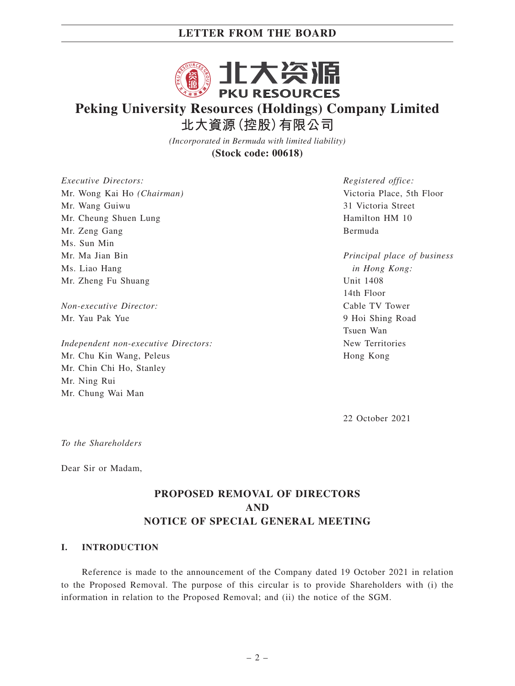

# **Peking University Resources (Holdings) Company Limited 北大資源(控股)有限公司**

*(Incorporated in Bermuda with limited liability)* **(Stock code: 00618)**

*Executive Directors:* Mr. Wong Kai Ho *(Chairman)* Mr. Wang Guiwu Mr. Cheung Shuen Lung Mr. Zeng Gang Ms. Sun Min Mr. Ma Jian Bin Ms. Liao Hang Mr. Zheng Fu Shuang

*Non-executive Director:* Mr. Yau Pak Yue

*Independent non-executive Directors:* Mr. Chu Kin Wang, Peleus Mr. Chin Chi Ho, Stanley Mr. Ning Rui Mr. Chung Wai Man

*Registered office:* Victoria Place, 5th Floor 31 Victoria Street Hamilton HM 10 Bermuda

*Principal place of business in Hong Kong:* Unit 1408 14th Floor Cable TV Tower 9 Hoi Shing Road Tsuen Wan New Territories Hong Kong

22 October 2021

*To the Shareholders*

Dear Sir or Madam,

## **PROPOSED REMOVAL OF DIRECTORS AND NOTICE OF SPECIAL GENERAL MEETING**

### **I. INTRODUCTION**

Reference is made to the announcement of the Company dated 19 October 2021 in relation to the Proposed Removal. The purpose of this circular is to provide Shareholders with (i) the information in relation to the Proposed Removal; and (ii) the notice of the SGM.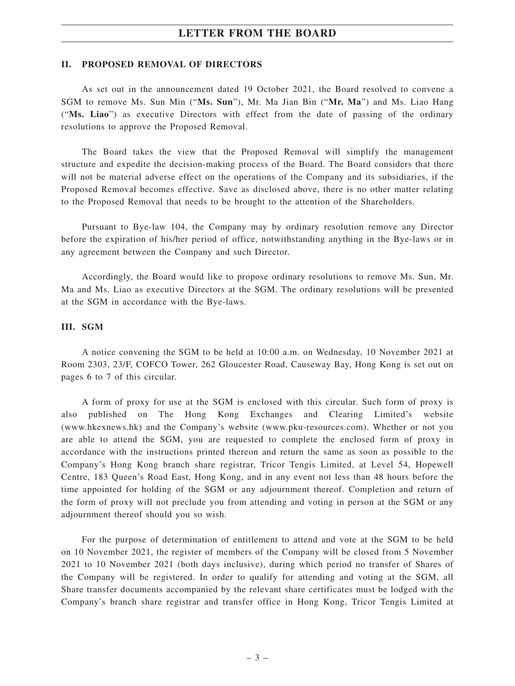#### **II. PROPOSED REMOVAL OF DIRECTORS**

As set out in the announcement dated 19 October 2021, the Board resolved to convene a SGM to remove Ms. Sun Min ("**Ms. Sun**"), Mr. Ma Jian Bin ("**Mr. Ma**") and Ms. Liao Hang ("**Ms. Liao**") as executive Directors with effect from the date of passing of the ordinary resolutions to approve the Proposed Removal.

The Board takes the view that the Proposed Removal will simplify the management structure and expedite the decision-making process of the Board. The Board considers that there will not be material adverse effect on the operations of the Company and its subsidiaries, if the Proposed Removal becomes effective. Save as disclosed above, there is no other matter relating to the Proposed Removal that needs to be brought to the attention of the Shareholders.

Pursuant to Bye-law 104, the Company may by ordinary resolution remove any Director before the expiration of his/her period of office, notwithstanding anything in the Bye-laws or in any agreement between the Company and such Director.

Accordingly, the Board would like to propose ordinary resolutions to remove Ms. Sun, Mr. Ma and Ms. Liao as executive Directors at the SGM. The ordinary resolutions will be presented at the SGM in accordance with the Bye-laws.

#### **III. SGM**

A notice convening the SGM to be held at 10:00 a.m. on Wednesday, 10 November 2021 at Room 2303, 23/F, COFCO Tower, 262 Gloucester Road, Causeway Bay, Hong Kong is set out on pages 6 to 7 of this circular.

A form of proxy for use at the SGM is enclosed with this circular. Such form of proxy is also published on The Hong Kong Exchanges and Clearing Limited's website (www.hkexnews.hk) and the Company's website (www.pku-resources.com). Whether or not you are able to attend the SGM, you are requested to complete the enclosed form of proxy in accordance with the instructions printed thereon and return the same as soon as possible to the Company's Hong Kong branch share registrar, Tricor Tengis Limited, at Level 54, Hopewell Centre, 183 Queen's Road East, Hong Kong, and in any event not less than 48 hours before the time appointed for holding of the SGM or any adjournment thereof. Completion and return of the form of proxy will not preclude you from attending and voting in person at the SGM or any adjournment thereof should you so wish.

For the purpose of determination of entitlement to attend and vote at the SGM to be held on 10 November 2021, the register of members of the Company will be closed from 5 November 2021 to 10 November 2021 (both days inclusive), during which period no transfer of Shares of the Company will be registered. In order to qualify for attending and voting at the SGM, all Share transfer documents accompanied by the relevant share certificates must be lodged with the Company's branch share registrar and transfer office in Hong Kong, Tricor Tengis Limited at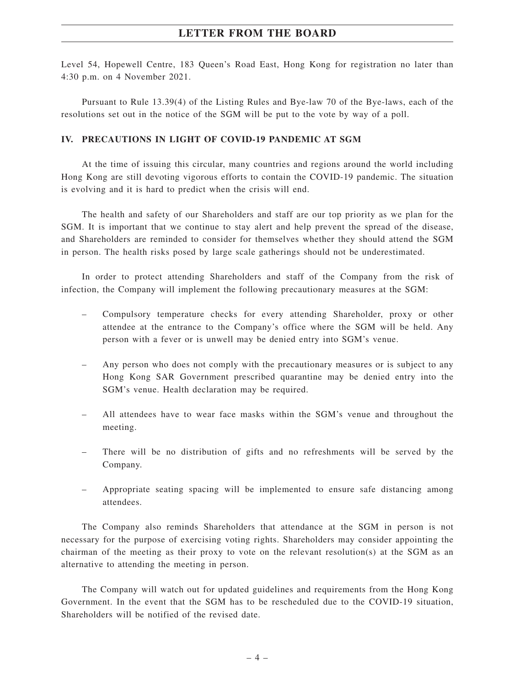Level 54, Hopewell Centre, 183 Queen's Road East, Hong Kong for registration no later than 4:30 p.m. on 4 November 2021.

Pursuant to Rule 13.39(4) of the Listing Rules and Bye-law 70 of the Bye-laws, each of the resolutions set out in the notice of the SGM will be put to the vote by way of a poll.

### **IV. PRECAUTIONS IN LIGHT OF COVID-19 PANDEMIC AT SGM**

At the time of issuing this circular, many countries and regions around the world including Hong Kong are still devoting vigorous efforts to contain the COVID-19 pandemic. The situation is evolving and it is hard to predict when the crisis will end.

The health and safety of our Shareholders and staff are our top priority as we plan for the SGM. It is important that we continue to stay alert and help prevent the spread of the disease, and Shareholders are reminded to consider for themselves whether they should attend the SGM in person. The health risks posed by large scale gatherings should not be underestimated.

In order to protect attending Shareholders and staff of the Company from the risk of infection, the Company will implement the following precautionary measures at the SGM:

- Compulsory temperature checks for every attending Shareholder, proxy or other attendee at the entrance to the Company's office where the SGM will be held. Any person with a fever or is unwell may be denied entry into SGM's venue.
- Any person who does not comply with the precautionary measures or is subject to any Hong Kong SAR Government prescribed quarantine may be denied entry into the SGM's venue. Health declaration may be required.
- All attendees have to wear face masks within the SGM's venue and throughout the meeting.
- There will be no distribution of gifts and no refreshments will be served by the Company.
- Appropriate seating spacing will be implemented to ensure safe distancing among attendees.

The Company also reminds Shareholders that attendance at the SGM in person is not necessary for the purpose of exercising voting rights. Shareholders may consider appointing the chairman of the meeting as their proxy to vote on the relevant resolution(s) at the SGM as an alternative to attending the meeting in person.

The Company will watch out for updated guidelines and requirements from the Hong Kong Government. In the event that the SGM has to be rescheduled due to the COVID-19 situation, Shareholders will be notified of the revised date.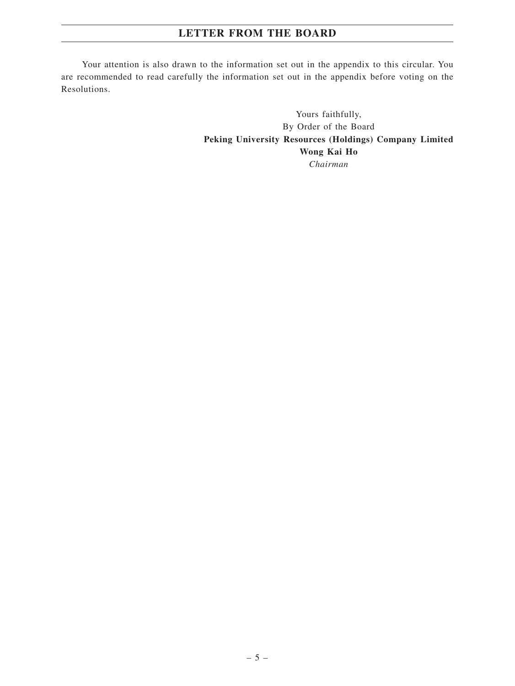Your attention is also drawn to the information set out in the appendix to this circular. You are recommended to read carefully the information set out in the appendix before voting on the Resolutions.

> Yours faithfully, By Order of the Board **Peking University Resources (Holdings) Company Limited Wong Kai Ho** *Chairman*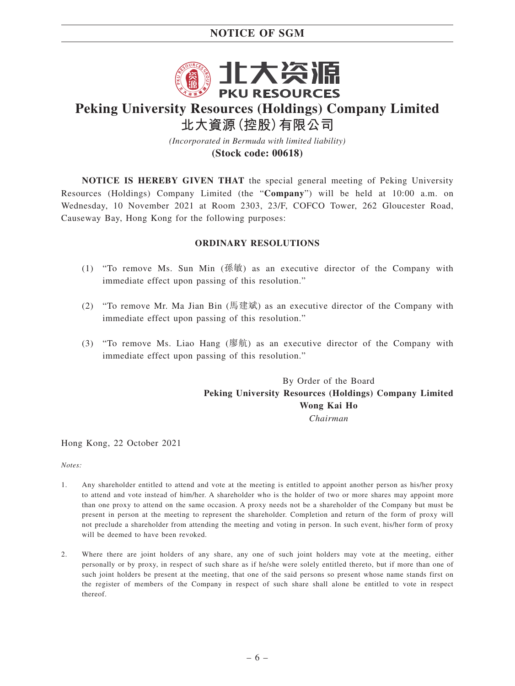## **NOTICE OF SGM**



# **Peking University Resources (Holdings) Company Limited 北大資源(控股)有限公司**

*(Incorporated in Bermuda with limited liability)* **(Stock code: 00618)**

**NOTICE IS HEREBY GIVEN THAT** the special general meeting of Peking University Resources (Holdings) Company Limited (the "**Company**") will be held at 10:00 a.m. on Wednesday, 10 November 2021 at Room 2303, 23/F, COFCO Tower, 262 Gloucester Road, Causeway Bay, Hong Kong for the following purposes:

### **ORDINARY RESOLUTIONS**

- (1) "To remove Ms. Sun Min (孫敏) as an executive director of the Company with immediate effect upon passing of this resolution."
- (2) "To remove Mr. Ma Jian Bin (馬建斌) as an executive director of the Company with immediate effect upon passing of this resolution."
- (3) "To remove Ms. Liao Hang (廖航) as an executive director of the Company with immediate effect upon passing of this resolution."

By Order of the Board **Peking University Resources (Holdings) Company Limited Wong Kai Ho** *Chairman*

Hong Kong, 22 October 2021

*Notes:*

- 1. Any shareholder entitled to attend and vote at the meeting is entitled to appoint another person as his/her proxy to attend and vote instead of him/her. A shareholder who is the holder of two or more shares may appoint more than one proxy to attend on the same occasion. A proxy needs not be a shareholder of the Company but must be present in person at the meeting to represent the shareholder. Completion and return of the form of proxy will not preclude a shareholder from attending the meeting and voting in person. In such event, his/her form of proxy will be deemed to have been revoked.
- 2. Where there are joint holders of any share, any one of such joint holders may vote at the meeting, either personally or by proxy, in respect of such share as if he/she were solely entitled thereto, but if more than one of such joint holders be present at the meeting, that one of the said persons so present whose name stands first on the register of members of the Company in respect of such share shall alone be entitled to vote in respect thereof.